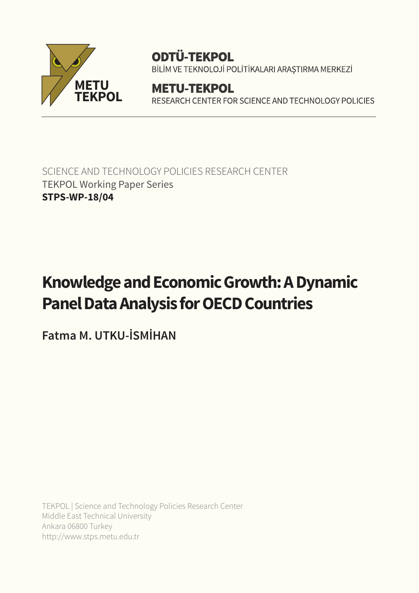

# **ODTÜ-TEKPOL**

BİLİM VE TEKNOLOJİ POLİTİKALARI ARAŞTIRMA MERKEZİ

**METU-TEKPOL** RESEARCH CENTER FOR SCIENCE AND TECHNOLOGY POLICIES

SCIENCE AND TECHNOLOGY POLICIES RESEARCH CENTER TEKPOL Working Paper Series **STPS-WP-18/04**

# **Knowledge and Economic Growth: A Dynamic Panel Data Analysis for OECD Countries**

**Fatma M. UTKU-İSMİHAN**

TEKPOL | Science and Technology Policies Research Center Middle East Technical University Ankara 06800 Turkey http://www.stps.metu.edu.tr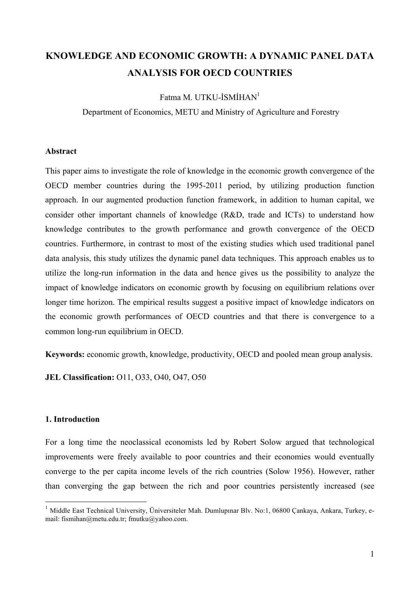# **KNOWLEDGE AND ECONOMIC GROWTH: A DYNAMIC PANEL DATA ANALYSIS FOR OECD COUNTRIES**

# Fatma M. UTKU-İSMİHAN<sup>1</sup>

Department of Economics, METU and Ministry of Agriculture and Forestry

### **Abstract**

This paper aims to investigate the role of knowledge in the economic growth convergence of the OECD member countries during the 1995-2011 period, by utilizing production function approach. In our augmented production function framework, in addition to human capital, we consider other important channels of knowledge (R&D, trade and ICTs) to understand how knowledge contributes to the growth performance and growth convergence of the OECD countries. Furthermore, in contrast to most of the existing studies which used traditional panel data analysis, this study utilizes the dynamic panel data techniques. This approach enables us to utilize the long-run information in the data and hence gives us the possibility to analyze the impact of knowledge indicators on economic growth by focusing on equilibrium relations over longer time horizon. The empirical results suggest a positive impact of knowledge indicators on the economic growth performances of OECD countries and that there is convergence to a common long-run equilibrium in OECD.

**Keywords:** economic growth, knowledge, productivity, OECD and pooled mean group analysis.

**JEL Classification:** O11, O33, O40, O47, O50

#### **1. Introduction**

For a long time the neoclassical economists led by Robert Solow argued that technological improvements were freely available to poor countries and their economies would eventually converge to the per capita income levels of the rich countries (Solow 1956). However, rather than converging the gap between the rich and poor countries persistently increased (see

<sup>&</sup>lt;sup>1</sup> Middle East Technical University, Üniversiteler Mah. Dumlupınar Blv. No:1, 06800 Çankaya, Ankara, Turkey, email: fismihan@metu.edu.tr; fmutku@yahoo.com.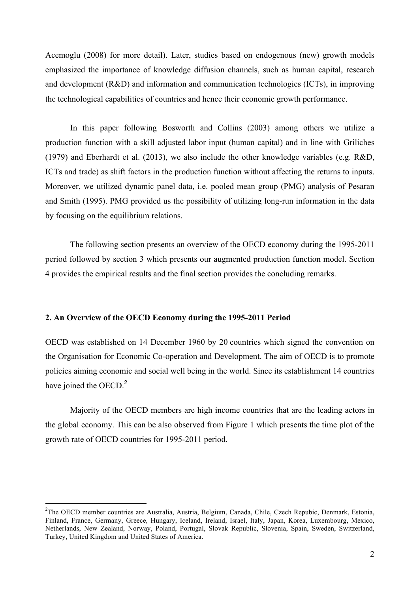Acemoglu (2008) for more detail). Later, studies based on endogenous (new) growth models emphasized the importance of knowledge diffusion channels, such as human capital, research and development (R&D) and information and communication technologies (ICTs), in improving the technological capabilities of countries and hence their economic growth performance.

In this paper following Bosworth and Collins (2003) among others we utilize a production function with a skill adjusted labor input (human capital) and in line with Griliches (1979) and Eberhardt et al. (2013), we also include the other knowledge variables (e.g. R&D, ICTs and trade) as shift factors in the production function without affecting the returns to inputs. Moreover, we utilized dynamic panel data, i.e. pooled mean group (PMG) analysis of Pesaran and Smith (1995). PMG provided us the possibility of utilizing long-run information in the data by focusing on the equilibrium relations.

The following section presents an overview of the OECD economy during the 1995-2011 period followed by section 3 which presents our augmented production function model. Section 4 provides the empirical results and the final section provides the concluding remarks.

# **2. An Overview of the OECD Economy during the 1995-2011 Period**

OECD was established on 14 December 1960 by 20 countries which signed the convention on the Organisation for Economic Co-operation and Development. The aim of OECD is to promote policies aiming economic and social well being in the world. Since its establishment 14 countries have joined the OECD.<sup>2</sup>

Majority of the OECD members are high income countries that are the leading actors in the global economy. This can be also observed from Figure 1 which presents the time plot of the growth rate of OECD countries for 1995-2011 period.

 $\frac{1}{2}$ <sup>2</sup>The OECD member countries are Australia, Austria, Belgium, Canada, Chile, Czech Repubic, Denmark, Estonia, Finland, France, Germany, Greece, Hungary, Iceland, Ireland, Israel, Italy, Japan, Korea, Luxembourg, Mexico, Netherlands, New Zealand, Norway, Poland, Portugal, Slovak Republic, Slovenia, Spain, Sweden, Switzerland, Turkey, United Kingdom and United States of America.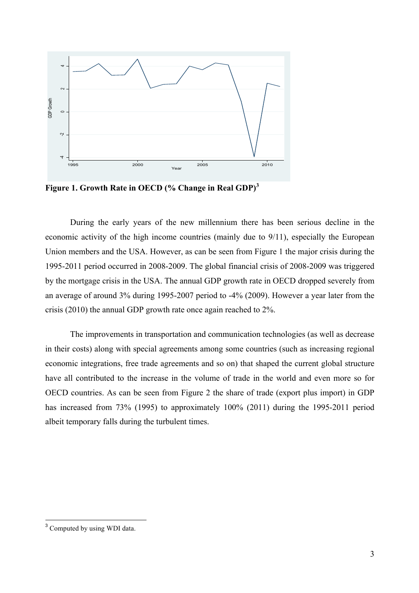

**Figure 1. Growth Rate in OECD (% Change in Real GDP)<sup>3</sup>**

During the early years of the new millennium there has been serious decline in the economic activity of the high income countries (mainly due to 9/11), especially the European Union members and the USA. However, as can be seen from Figure 1 the major crisis during the 1995-2011 period occurred in 2008-2009. The global financial crisis of 2008-2009 was triggered by the mortgage crisis in the USA. The annual GDP growth rate in OECD dropped severely from an average of around 3% during 1995-2007 period to -4% (2009). However a year later from the crisis (2010) the annual GDP growth rate once again reached to 2%.

The improvements in transportation and communication technologies (as well as decrease in their costs) along with special agreements among some countries (such as increasing regional economic integrations, free trade agreements and so on) that shaped the current global structure have all contributed to the increase in the volume of trade in the world and even more so for OECD countries. As can be seen from Figure 2 the share of trade (export plus import) in GDP has increased from 73% (1995) to approximately 100% (2011) during the 1995-2011 period albeit temporary falls during the turbulent times.

<sup>&</sup>lt;sup>3</sup> Computed by using WDI data.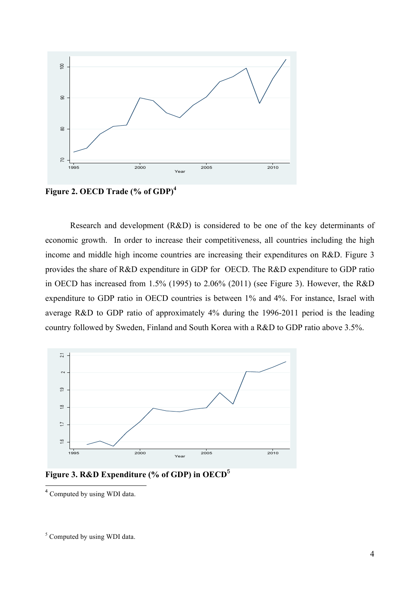

**Figure 2. OECD Trade (% of GDP)<sup>4</sup>**

Research and development (R&D) is considered to be one of the key determinants of economic growth. In order to increase their competitiveness, all countries including the high income and middle high income countries are increasing their expenditures on R&D. Figure 3 provides the share of R&D expenditure in GDP for OECD. The R&D expenditure to GDP ratio in OECD has increased from 1.5% (1995) to 2.06% (2011) (see Figure 3). However, the R&D expenditure to GDP ratio in OECD countries is between 1% and 4%. For instance, Israel with average R&D to GDP ratio of approximately 4% during the 1996-2011 period is the leading country followed by Sweden, Finland and South Korea with a R&D to GDP ratio above 3.5%.



**Figure 3. R&D Expenditure (% of GDP) in OECD**<sup>5</sup>

<sup>4</sup> Computed by using WDI data.

<sup>&</sup>lt;sup>5</sup> Computed by using WDI data.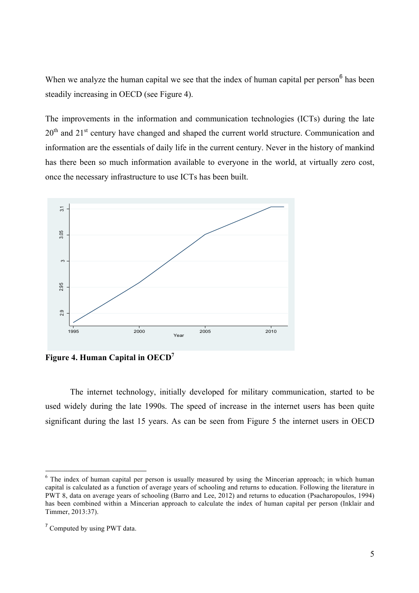When we analyze the human capital we see that the index of human capital per person<sup>6</sup> has been steadily increasing in OECD (see Figure 4).

The improvements in the information and communication technologies (ICTs) during the late 20<sup>th</sup> and 21<sup>st</sup> century have changed and shaped the current world structure. Communication and information are the essentials of daily life in the current century. Never in the history of mankind has there been so much information available to everyone in the world, at virtually zero cost, once the necessary infrastructure to use ICTs has been built.



**Figure 4. Human Capital in OECD7**

The internet technology, initially developed for military communication, started to be used widely during the late 1990s. The speed of increase in the internet users has been quite significant during the last 15 years. As can be seen from Figure 5 the internet users in OECD

<sup>&</sup>lt;sup>6</sup> The index of human capital per person is usually measured by using the Mincerian approach; in which human capital is calculated as a function of average years of schooling and returns to education. Following the literature in PWT 8, data on average years of schooling (Barro and Lee, 2012) and returns to education (Psacharopoulos, 1994) has been combined within a Mincerian approach to calculate the index of human capital per person (Inklair and Timmer, 2013:37).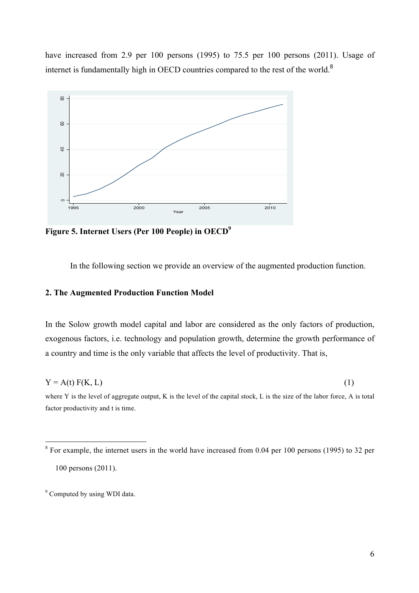have increased from 2.9 per 100 persons (1995) to 75.5 per 100 persons (2011). Usage of internet is fundamentally high in OECD countries compared to the rest of the world.<sup>8</sup>



**Figure 5. Internet Users (Per 100 People) in OECD9**

In the following section we provide an overview of the augmented production function.

## **2. The Augmented Production Function Model**

In the Solow growth model capital and labor are considered as the only factors of production, exogenous factors, i.e. technology and population growth, determine the growth performance of a country and time is the only variable that affects the level of productivity. That is,

 $Y = A(t) F(K, L)$  (1) where Y is the level of aggregate output, K is the level of the capital stock, L is the size of the labor force, A is total

factor productivity and t is time.

<sup>&</sup>lt;sup>8</sup> For example, the internet users in the world have increased from 0.04 per 100 persons (1995) to 32 per 100 persons (2011).

<sup>&</sup>lt;sup>9</sup> Computed by using WDI data.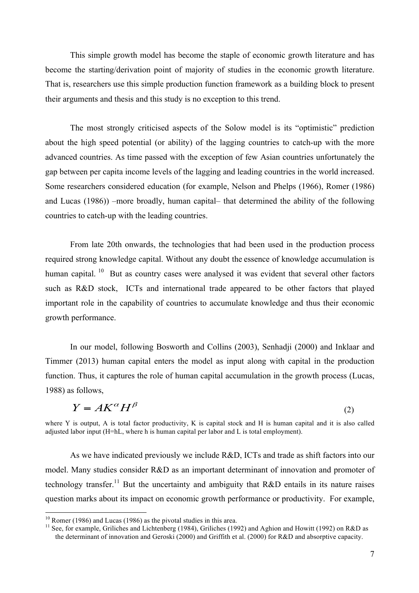This simple growth model has become the staple of economic growth literature and has become the starting/derivation point of majority of studies in the economic growth literature. That is, researchers use this simple production function framework as a building block to present their arguments and thesis and this study is no exception to this trend.

The most strongly criticised aspects of the Solow model is its "optimistic" prediction about the high speed potential (or ability) of the lagging countries to catch-up with the more advanced countries. As time passed with the exception of few Asian countries unfortunately the gap between per capita income levels of the lagging and leading countries in the world increased. Some researchers considered education (for example, Nelson and Phelps (1966), Romer (1986) and Lucas (1986)) –more broadly, human capital– that determined the ability of the following countries to catch-up with the leading countries.

From late 20th onwards, the technologies that had been used in the production process required strong knowledge capital. Without any doubt the essence of knowledge accumulation is human capital.  $10$  But as country cases were analysed it was evident that several other factors such as R&D stock, ICTs and international trade appeared to be other factors that played important role in the capability of countries to accumulate knowledge and thus their economic growth performance.

In our model, following Bosworth and Collins (2003), Senhadji (2000) and Inklaar and Timmer (2013) human capital enters the model as input along with capital in the production function. Thus, it captures the role of human capital accumulation in the growth process (Lucas, 1988) as follows,

$$
Y = AK^{\alpha}H^{\beta}
$$
 (2)

where Y is output. A is total factor productivity, K is capital stock and H is human capital and it is also called adjusted labor input (H=hL, where h is human capital per labor and L is total employment).

As we have indicated previously we include R&D, ICTs and trade as shift factors into our model. Many studies consider R&D as an important determinant of innovation and promoter of technology transfer.<sup>11</sup> But the uncertainty and ambiguity that R&D entails in its nature raises question marks about its impact on economic growth performance or productivity. For example,

<sup>&</sup>lt;sup>10</sup> Romer (1986) and Lucas (1986) as the pivotal studies in this area.<br><sup>11</sup> See, for example, Griliches and Lichtenberg (1984), Griliches (1992) and Aghion and Howitt (1992) on R&D as the determinant of innovation and Geroski (2000) and Griffith et al. (2000) for R&D and absorptive capacity.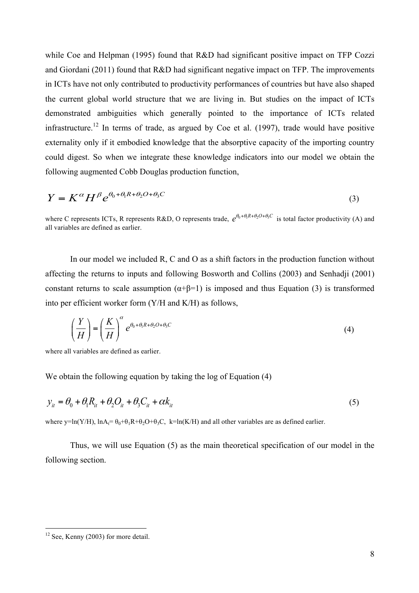while Coe and Helpman (1995) found that R&D had significant positive impact on TFP Cozzi and Giordani (2011) found that R&D had significant negative impact on TFP. The improvements in ICTs have not only contributed to productivity performances of countries but have also shaped the current global world structure that we are living in. But studies on the impact of ICTs demonstrated ambiguities which generally pointed to the importance of ICTs related infrastructure.<sup>12</sup> In terms of trade, as argued by Coe et al. (1997), trade would have positive externality only if it embodied knowledge that the absorptive capacity of the importing country could digest. So when we integrate these knowledge indicators into our model we obtain the following augmented Cobb Douglas production function,

$$
Y = K^{\alpha} H^{\beta} e^{\theta_0 + \theta_1 R + \theta_2 O + \theta_3 C}
$$
 (3)

where C represents ICTs, R represents R&D, O represents trade,  $e^{\theta_0 + \theta_1 R + \theta_2 O + \theta_3 C}$  is total factor productivity (A) and all variables are defined as earlier.

In our model we included R, C and O as a shift factors in the production function without affecting the returns to inputs and following Bosworth and Collins (2003) and Senhadji (2001) constant returns to scale assumption  $(\alpha + \beta = 1)$  is imposed and thus Equation (3) is transformed into per efficient worker form (Y/H and K/H) as follows,

$$
\left(\frac{Y}{H}\right) = \left(\frac{K}{H}\right)^{\alpha} e^{\theta_0 + \theta_1 R + \theta_2 O + \theta_3 C}
$$
\n(4)

where all variables are defined as earlier.

We obtain the following equation by taking the log of Equation (4)

$$
y_{it} = \theta_0 + \theta_1 R_{it} + \theta_2 Q_{it} + \theta_3 C_{it} + \alpha k_{it}
$$
\n
$$
\tag{5}
$$

where y=ln(Y/H),  $ln A_t = \theta_0 + \theta_1 R + \theta_2 O + \theta_3 C$ , k=ln(K/H) and all other variables are as defined earlier.

Thus, we will use Equation (5) as the main theoretical specification of our model in the following section.

 $12$  See, Kenny (2003) for more detail.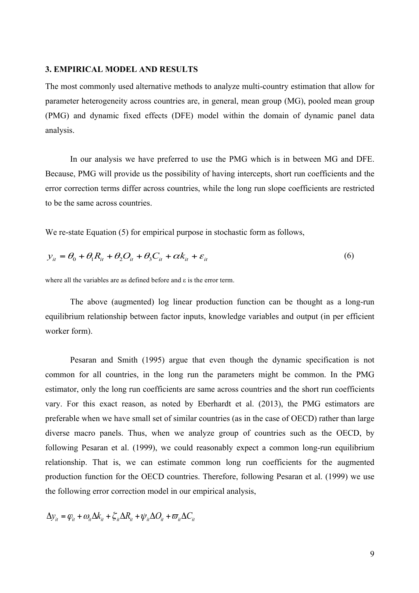#### **3. EMPIRICAL MODEL AND RESULTS**

The most commonly used alternative methods to analyze multi-country estimation that allow for parameter heterogeneity across countries are, in general, mean group (MG), pooled mean group (PMG) and dynamic fixed effects (DFE) model within the domain of dynamic panel data analysis.

In our analysis we have preferred to use the PMG which is in between MG and DFE. Because, PMG will provide us the possibility of having intercepts, short run coefficients and the error correction terms differ across countries, while the long run slope coefficients are restricted to be the same across countries.

We re-state Equation (5) for empirical purpose in stochastic form as follows,

$$
y_{it} = \theta_0 + \theta_1 R_{it} + \theta_2 Q_{it} + \theta_3 C_{it} + \alpha k_{it} + \varepsilon_{it}
$$
\n
$$
\tag{6}
$$

where all the variables are as defined before and ε is the error term.

The above (augmented) log linear production function can be thought as a long-run equilibrium relationship between factor inputs, knowledge variables and output (in per efficient worker form).

Pesaran and Smith (1995) argue that even though the dynamic specification is not common for all countries, in the long run the parameters might be common. In the PMG estimator, only the long run coefficients are same across countries and the short run coefficients vary. For this exact reason, as noted by Eberhardt et al. (2013), the PMG estimators are preferable when we have small set of similar countries (as in the case of OECD) rather than large diverse macro panels. Thus, when we analyze group of countries such as the OECD, by following Pesaran et al. (1999), we could reasonably expect a common long-run equilibrium relationship. That is, we can estimate common long run coefficients for the augmented production function for the OECD countries. Therefore, following Pesaran et al. (1999) we use the following error correction model in our empirical analysis,

$$
\Delta y_{it} = \varphi_{it} + \omega_{it} \Delta k_{it} + \zeta_{it} \Delta R_{it} + \psi_{it} \Delta O_{it} + \varpi_{it} \Delta C_{it}
$$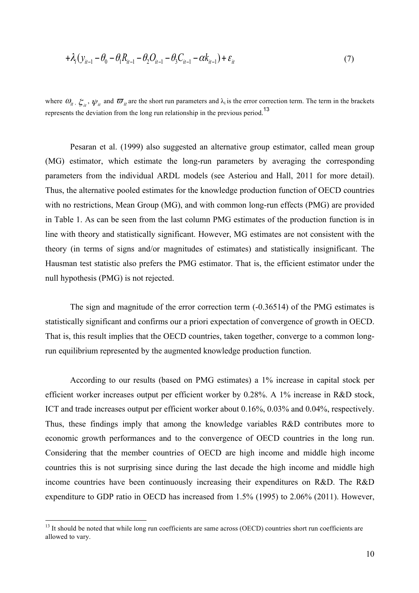$$
+ \lambda_i (y_{it-1} - \theta_0 - \theta_1 R_{it-1} - \theta_2 Q_{it-1} - \theta_3 C_{it-1} - \alpha k_{it-1}) + \varepsilon_{it} \tag{7}
$$

where  $\omega_{it}$ ,  $\zeta_{it}$ ,  $\psi_{it}$  and  $\overline{\omega}_{it}$  are the short run parameters and  $\lambda_i$  is the error correction term. The term in the brackets represents the deviation from the long run relationship in the previous period.<sup>13</sup>

Pesaran et al. (1999) also suggested an alternative group estimator, called mean group (MG) estimator, which estimate the long-run parameters by averaging the corresponding parameters from the individual ARDL models (see Asteriou and Hall, 2011 for more detail). Thus, the alternative pooled estimates for the knowledge production function of OECD countries with no restrictions, Mean Group (MG), and with common long-run effects (PMG) are provided in Table 1. As can be seen from the last column PMG estimates of the production function is in line with theory and statistically significant. However, MG estimates are not consistent with the theory (in terms of signs and/or magnitudes of estimates) and statistically insignificant. The Hausman test statistic also prefers the PMG estimator. That is, the efficient estimator under the null hypothesis (PMG) is not rejected.

The sign and magnitude of the error correction term (-0.36514) of the PMG estimates is statistically significant and confirms our a priori expectation of convergence of growth in OECD. That is, this result implies that the OECD countries, taken together, converge to a common longrun equilibrium represented by the augmented knowledge production function.

According to our results (based on PMG estimates) a 1% increase in capital stock per efficient worker increases output per efficient worker by 0.28%. A 1% increase in R&D stock, ICT and trade increases output per efficient worker about 0.16%, 0.03% and 0.04%, respectively. Thus, these findings imply that among the knowledge variables R&D contributes more to economic growth performances and to the convergence of OECD countries in the long run. Considering that the member countries of OECD are high income and middle high income countries this is not surprising since during the last decade the high income and middle high income countries have been continuously increasing their expenditures on R&D. The R&D expenditure to GDP ratio in OECD has increased from 1.5% (1995) to 2.06% (2011). However,

<sup>&</sup>lt;sup>13</sup> It should be noted that while long run coefficients are same across (OECD) countries short run coefficients are allowed to vary.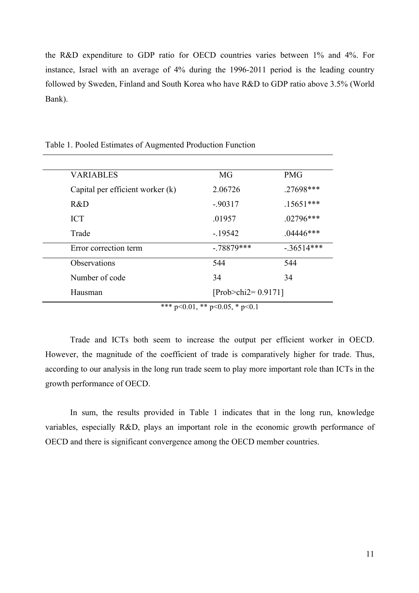the R&D expenditure to GDP ratio for OECD countries varies between 1% and 4%. For instance, Israel with an average of 4% during the 1996-2011 period is the leading country followed by Sweden, Finland and South Korea who have R&D to GDP ratio above 3.5% (World Bank).

| <b>VARIABLES</b>                   | MG                         | <b>PMG</b>   |
|------------------------------------|----------------------------|--------------|
| Capital per efficient worker $(k)$ | 2.06726                    | .27698***    |
| R&D                                | $-0.90317$                 | $.15651***$  |
| <b>ICT</b>                         | .01957                     | $.02796***$  |
| Trade                              | $-19542$                   | $.04446***$  |
| Error correction term              | $-.78879***$               | $-.36514***$ |
| Observations                       | 544                        | 544          |
| Number of code                     | 34                         | 34           |
| Hausman                            | [ $Prob > chi2 = 0.9171$ ] |              |

Table 1. Pooled Estimates of Augmented Production Function

\*\*\* p<0.01, \*\* p<0.05, \* p<0.1

Trade and ICTs both seem to increase the output per efficient worker in OECD. However, the magnitude of the coefficient of trade is comparatively higher for trade. Thus, according to our analysis in the long run trade seem to play more important role than ICTs in the growth performance of OECD.

In sum, the results provided in Table 1 indicates that in the long run, knowledge variables, especially R&D, plays an important role in the economic growth performance of OECD and there is significant convergence among the OECD member countries.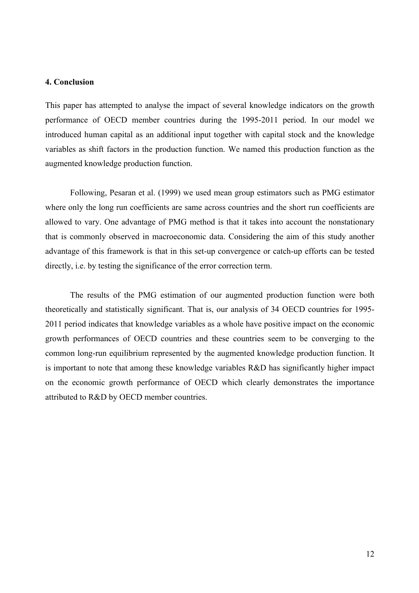### **4. Conclusion**

This paper has attempted to analyse the impact of several knowledge indicators on the growth performance of OECD member countries during the 1995-2011 period. In our model we introduced human capital as an additional input together with capital stock and the knowledge variables as shift factors in the production function. We named this production function as the augmented knowledge production function.

Following, Pesaran et al. (1999) we used mean group estimators such as PMG estimator where only the long run coefficients are same across countries and the short run coefficients are allowed to vary. One advantage of PMG method is that it takes into account the nonstationary that is commonly observed in macroeconomic data. Considering the aim of this study another advantage of this framework is that in this set-up convergence or catch-up efforts can be tested directly, i.e. by testing the significance of the error correction term.

The results of the PMG estimation of our augmented production function were both theoretically and statistically significant. That is, our analysis of 34 OECD countries for 1995- 2011 period indicates that knowledge variables as a whole have positive impact on the economic growth performances of OECD countries and these countries seem to be converging to the common long-run equilibrium represented by the augmented knowledge production function. It is important to note that among these knowledge variables R&D has significantly higher impact on the economic growth performance of OECD which clearly demonstrates the importance attributed to R&D by OECD member countries.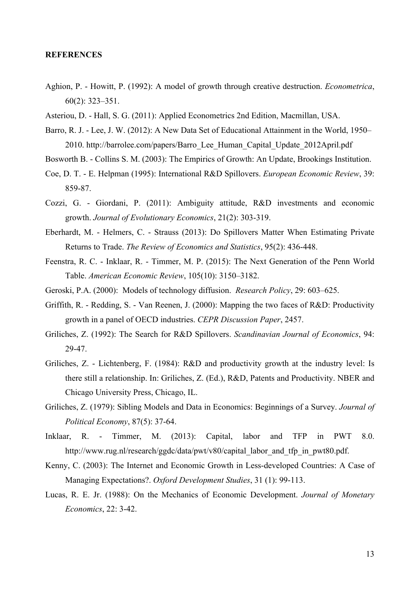#### **REFERENCES**

- Aghion, P. Howitt, P. (1992): A model of growth through creative destruction. *Econometrica*, 60(2): 323–351.
- Asteriou, D. Hall, S. G. (2011): Applied Econometrics 2nd Edition, Macmillan, USA.
- Barro, R. J. Lee, J. W. (2012): A New Data Set of Educational Attainment in the World, 1950– 2010. http://barrolee.com/papers/Barro\_Lee\_Human\_Capital\_Update\_2012April.pdf
- Bosworth B. Collins S. M. (2003): The Empirics of Growth: An Update, Brookings Institution.
- Coe, D. T. E. Helpman (1995): International R&D Spillovers. *European Economic Review*, 39: 859-87.
- Cozzi, G. Giordani, P. (2011): Ambiguity attitude, R&D investments and economic growth. *Journal of Evolutionary Economics*, 21(2): 303-319.
- Eberhardt, M. Helmers, C. Strauss (2013): Do Spillovers Matter When Estimating Private Returns to Trade. *The Review of Economics and Statistics*, 95(2): 436-448.
- Feenstra, R. C. Inklaar, R. Timmer, M. P. (2015): The Next Generation of the Penn World Table. *American Economic Review*, 105(10): 3150–3182.
- Geroski, P.A. (2000): Models of technology diffusion. *Research Policy*, 29: 603–625.
- Griffith, R. Redding, S. Van Reenen, J. (2000): Mapping the two faces of R&D: Productivity growth in a panel of OECD industries. *CEPR Discussion Paper*, 2457.
- Griliches, Z. (1992): The Search for R&D Spillovers. *Scandinavian Journal of Economics*, 94: 29-47.
- Griliches, Z. Lichtenberg, F. (1984): R&D and productivity growth at the industry level: Is there still a relationship. In: Griliches, Z. (Ed.), R&D, Patents and Productivity. NBER and Chicago University Press, Chicago, IL.
- Griliches, Z. (1979): Sibling Models and Data in Economics: Beginnings of a Survey. *Journal of Political Economy*, 87(5): 37-64.
- Inklaar, R. Timmer, M. (2013): Capital, labor and TFP in PWT 8.0. http://www.rug.nl/research/ggdc/data/pwt/v80/capital\_labor\_and\_tfp\_in\_pwt80.pdf.
- Kenny, C. (2003): The Internet and Economic Growth in Less-developed Countries: A Case of Managing Expectations?. *Oxford Development Studies*, 31 (1): 99-113.
- Lucas, R. E. Jr. (1988): On the Mechanics of Economic Development. *Journal of Monetary Economics*, 22: 3-42.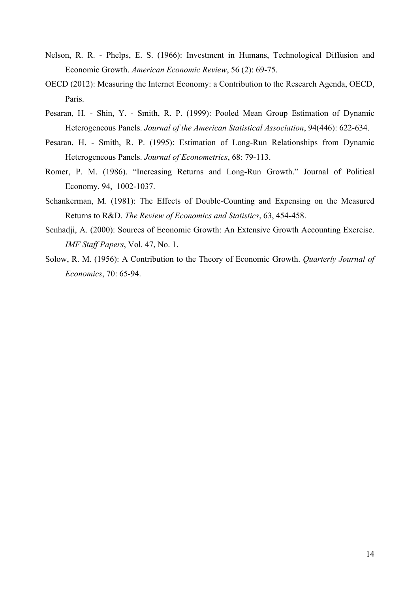- Nelson, R. R. Phelps, E. S. (1966): Investment in Humans, Technological Diffusion and Economic Growth. *American Economic Review*, 56 (2): 69-75.
- OECD (2012): Measuring the Internet Economy: a Contribution to the Research Agenda, OECD, Paris.
- Pesaran, H. Shin, Y. Smith, R. P. (1999): Pooled Mean Group Estimation of Dynamic Heterogeneous Panels. *Journal of the American Statistical Association*, 94(446): 622-634.
- Pesaran, H. Smith, R. P. (1995): Estimation of Long-Run Relationships from Dynamic Heterogeneous Panels. *Journal of Econometrics*, 68: 79-113.
- Romer, P. M. (1986). "Increasing Returns and Long-Run Growth." Journal of Political Economy, 94, 1002-1037.
- Schankerman, M. (1981): The Effects of Double-Counting and Expensing on the Measured Returns to R&D. *The Review of Economics and Statistics*, 63, 454-458.
- Senhadji, A. (2000): Sources of Economic Growth: An Extensive Growth Accounting Exercise. *IMF Staff Papers*, Vol. 47, No. 1.
- Solow, R. M. (1956): A Contribution to the Theory of Economic Growth. *Quarterly Journal of Economics*, 70: 65-94.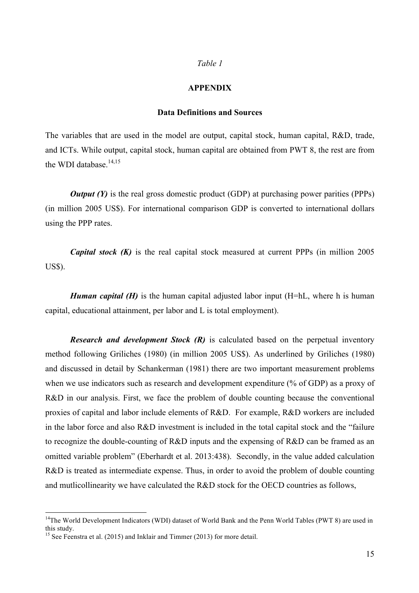#### *Table 1*

#### **APPENDIX**

#### **Data Definitions and Sources**

The variables that are used in the model are output, capital stock, human capital, R&D, trade, and ICTs. While output, capital stock, human capital are obtained from PWT 8, the rest are from the WDI database.<sup>14,15</sup>

*Output (Y)* is the real gross domestic product (GDP) at purchasing power parities (PPPs) (in million 2005 US\$). For international comparison GDP is converted to international dollars using the PPP rates.

*Capital stock (K)* is the real capital stock measured at current PPPs (in million 2005) US\$).

*Human capital (H)* is the human capital adjusted labor input *(H=hL, where h is human* capital, educational attainment, per labor and L is total employment).

*Research and development Stock (R)* is calculated based on the perpetual inventory method following Griliches (1980) (in million 2005 US\$). As underlined by Griliches (1980) and discussed in detail by Schankerman (1981) there are two important measurement problems when we use indicators such as research and development expenditure (% of GDP) as a proxy of R&D in our analysis. First, we face the problem of double counting because the conventional proxies of capital and labor include elements of R&D. For example, R&D workers are included in the labor force and also R&D investment is included in the total capital stock and the "failure to recognize the double-counting of R&D inputs and the expensing of R&D can be framed as an omitted variable problem" (Eberhardt et al. 2013:438). Secondly, in the value added calculation R&D is treated as intermediate expense. Thus, in order to avoid the problem of double counting and mutlicollinearity we have calculated the R&D stock for the OECD countries as follows,

<sup>&</sup>lt;sup>14</sup>The World Development Indicators (WDI) dataset of World Bank and the Penn World Tables (PWT 8) are used in this study.

<sup>&</sup>lt;sup>15</sup> See Feenstra et al. (2015) and Inklair and Timmer (2013) for more detail.